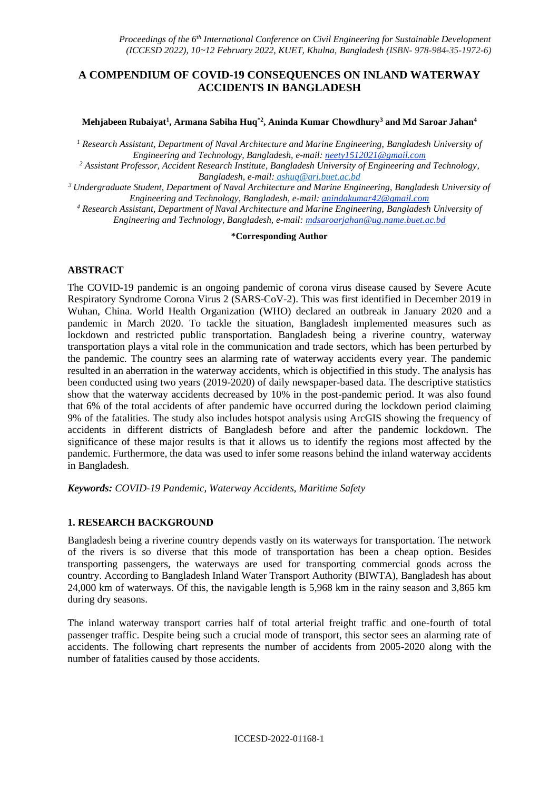# **A COMPENDIUM OF COVID-19 CONSEQUENCES ON INLAND WATERWAY ACCIDENTS IN BANGLADESH**

#### **Mehjabeen Rubaiyat<sup>1</sup> , Armana Sabiha Huq\*2 , Aninda Kumar Chowdhury<sup>3</sup> and Md Saroar Jahan<sup>4</sup>**

*<sup>1</sup> Research Assistant, Department of Naval Architecture and Marine Engineering, Bangladesh University of Engineering and Technology, Bangladesh, e-mail: [neety1512021@gmail.com](mailto:neety1512021@gmail.com)*

*<sup>2</sup> Assistant Professor, Accident Research Institute, Bangladesh University of Engineering and Technology, Bangladesh, e-mail: [ashuq@ari.buet.ac.bd](mailto:ashuq@ari.buet.ac.bd)*

*<sup>3</sup>Undergraduate Student, Department of Naval Architecture and Marine Engineering, Bangladesh University of Engineering and Technology, Bangladesh, e-mail: [anindakumar42@gmail.com](mailto:anindakumar42@gmail.com)*

*<sup>4</sup> Research Assistant, Department of Naval Architecture and Marine Engineering, Bangladesh University of Engineering and Technology, Bangladesh, e-mail: [mdsaroarjahan@ug.name.buet.ac.bd](mailto:sabahhossainiqra961@gmail.com)*

#### **\*Corresponding Author**

## **ABSTRACT**

The COVID-19 pandemic is an ongoing pandemic of corona virus disease caused by Severe Acute Respiratory Syndrome Corona Virus 2 (SARS-CoV-2). This was first identified in December 2019 in Wuhan, China. World Health Organization (WHO) declared an outbreak in January 2020 and a pandemic in March 2020. To tackle the situation, Bangladesh implemented measures such as lockdown and restricted public transportation. Bangladesh being a riverine country, waterway transportation plays a vital role in the communication and trade sectors, which has been perturbed by the pandemic. The country sees an alarming rate of waterway accidents every year. The pandemic resulted in an aberration in the waterway accidents, which is objectified in this study. The analysis has been conducted using two years (2019-2020) of daily newspaper-based data. The descriptive statistics show that the waterway accidents decreased by 10% in the post-pandemic period. It was also found that 6% of the total accidents of after pandemic have occurred during the lockdown period claiming 9% of the fatalities. The study also includes hotspot analysis using ArcGIS showing the frequency of accidents in different districts of Bangladesh before and after the pandemic lockdown. The significance of these major results is that it allows us to identify the regions most affected by the pandemic. Furthermore, the data was used to infer some reasons behind the inland waterway accidents in Bangladesh.

*Keywords: COVID-19 Pandemic, Waterway Accidents, Maritime Safety*

### **1. RESEARCH BACKGROUND**

Bangladesh being a riverine country depends vastly on its waterways for transportation. The network of the rivers is so diverse that this mode of transportation has been a cheap option. Besides transporting passengers, the waterways are used for transporting commercial goods across the country. According to Bangladesh Inland Water Transport Authority (BIWTA), Bangladesh has about 24,000 km of waterways. Of this, the navigable length is 5,968 km in the rainy season and 3,865 km during dry seasons.

The inland waterway transport carries half of total arterial freight traffic and one-fourth of total passenger traffic. Despite being such a crucial mode of transport, this sector sees an alarming rate of accidents. The following chart represents the number of accidents from 2005-2020 along with the number of fatalities caused by those accidents.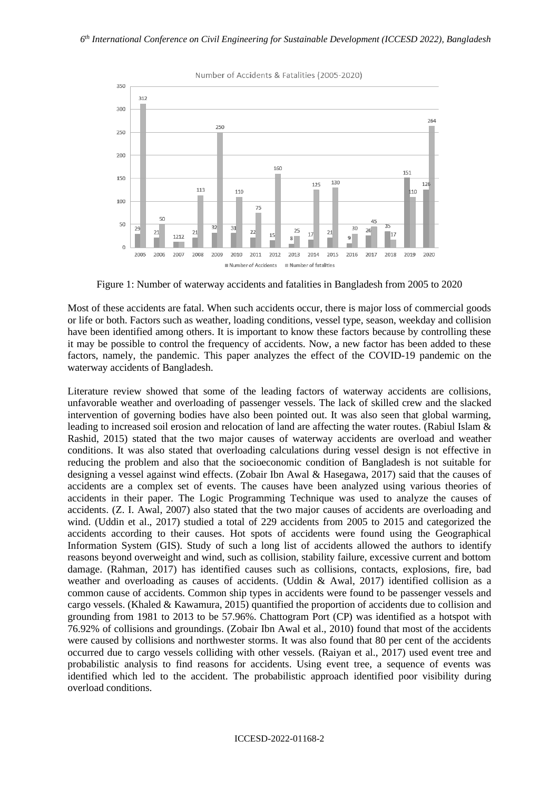

Number of Accidents & Fatalities (2005-2020)

Figure 1: Number of waterway accidents and fatalities in Bangladesh from 2005 to 2020

Most of these accidents are fatal. When such accidents occur, there is major loss of commercial goods or life or both. Factors such as weather, loading conditions, vessel type, season, weekday and collision have been identified among others. It is important to know these factors because by controlling these it may be possible to control the frequency of accidents. Now, a new factor has been added to these factors, namely, the pandemic. This paper analyzes the effect of the COVID-19 pandemic on the waterway accidents of Bangladesh.

Literature review showed that some of the leading factors of waterway accidents are collisions, unfavorable weather and overloading of passenger vessels. The lack of skilled crew and the slacked intervention of governing bodies have also been pointed out. It was also seen that global warming, leading to increased soil erosion and relocation of land are affecting the water routes. (Rabiul Islam & Rashid, 2015) stated that the two major causes of waterway accidents are overload and weather conditions. It was also stated that overloading calculations during vessel design is not effective in reducing the problem and also that the socioeconomic condition of Bangladesh is not suitable for designing a vessel against wind effects. (Zobair Ibn Awal & Hasegawa, 2017) said that the causes of accidents are a complex set of events. The causes have been analyzed using various theories of accidents in their paper. The Logic Programming Technique was used to analyze the causes of accidents. (Z. I. Awal, 2007) also stated that the two major causes of accidents are overloading and wind. (Uddin et al., 2017) studied a total of 229 accidents from 2005 to 2015 and categorized the accidents according to their causes. Hot spots of accidents were found using the Geographical Information System (GIS). Study of such a long list of accidents allowed the authors to identify reasons beyond overweight and wind, such as collision, stability failure, excessive current and bottom damage. (Rahman, 2017) has identified causes such as collisions, contacts, explosions, fire, bad weather and overloading as causes of accidents. (Uddin & Awal, 2017) identified collision as a common cause of accidents. Common ship types in accidents were found to be passenger vessels and cargo vessels. (Khaled & Kawamura, 2015) quantified the proportion of accidents due to collision and grounding from 1981 to 2013 to be 57.96%. Chattogram Port (CP) was identified as a hotspot with 76.92% of collisions and groundings. (Zobair Ibn Awal et al., 2010) found that most of the accidents were caused by collisions and northwester storms. It was also found that 80 per cent of the accidents occurred due to cargo vessels colliding with other vessels. (Raiyan et al., 2017) used event tree and probabilistic analysis to find reasons for accidents. Using event tree, a sequence of events was identified which led to the accident. The probabilistic approach identified poor visibility during overload conditions.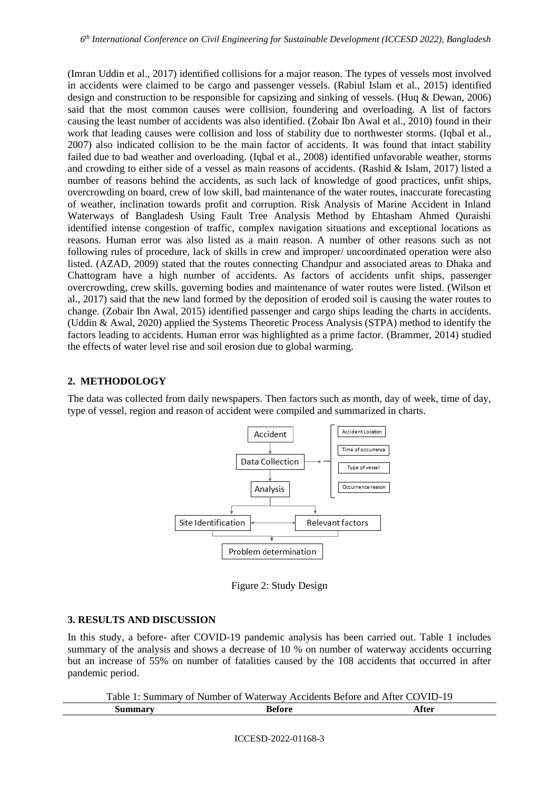(Imran Uddin et al., 2017) identified collisions for a major reason. The types of vessels most involved in accidents were claimed to be cargo and passenger vessels. (Rabiul Islam et al., 2015) identified design and construction to be responsible for capsizing and sinking of vessels. (Huq & Dewan, 2006) said that the most common causes were collision, foundering and overloading. A list of factors causing the least number of accidents was also identified. (Zobair Ibn Awal et al., 2010) found in their work that leading causes were collision and loss of stability due to northwester storms. (Iqbal et al., 2007) also indicated collision to be the main factor of accidents. It was found that intact stability failed due to bad weather and overloading. (Iqbal et al., 2008) identified unfavorable weather, storms and crowding to either side of a vessel as main reasons of accidents. (Rashid & Islam, 2017) listed a number of reasons behind the accidents, as such lack of knowledge of good practices, unfit ships, overcrowding on board, crew of low skill, bad maintenance of the water routes, inaccurate forecasting of weather, inclination towards profit and corruption. Risk Analysis of Marine Accident in Inland Waterways of Bangladesh Using Fault Tree Analysis Method by Ehtasham Ahmed Quraishi identified intense congestion of traffic, complex navigation situations and exceptional locations as reasons. Human error was also listed as a main reason. A number of other reasons such as not following rules of procedure, lack of skills in crew and improper/ uncoordinated operation were also listed. (AZAD, 2009) stated that the routes connecting Chandpur and associated areas to Dhaka and Chattogram have a high number of accidents. As factors of accidents unfit ships, passenger overcrowding, crew skills, governing bodies and maintenance of water routes were listed. (Wilson et al., 2017) said that the new land formed by the deposition of eroded soil is causing the water routes to change. (Zobair Ibn Awal, 2015) identified passenger and cargo ships leading the charts in accidents. (Uddin & Awal, 2020) applied the Systems Theoretic Process Analysis (STPA) method to identify the factors leading to accidents. Human error was highlighted as a prime factor. (Brammer, 2014) studied the effects of water level rise and soil erosion due to global warming.

### **2. METHODOLOGY**

The data was collected from daily newspapers. Then factors such as month, day of week, time of day, type of vessel, region and reason of accident were compiled and summarized in charts.



Figure 2: Study Design

### **3. RESULTS AND DISCUSSION**

In this study, a before- after COVID-19 pandemic analysis has been carried out. Table 1 includes summary of the analysis and shows a decrease of 10 % on number of waterway accidents occurring but an increase of 55% on number of fatalities caused by the 108 accidents that occurred in after pandemic period.

|         | Table 1: Summary of Number of Waterway Accidents Before and After COVID-19 |       |
|---------|----------------------------------------------------------------------------|-------|
| Summarv | <b>Before</b>                                                              | After |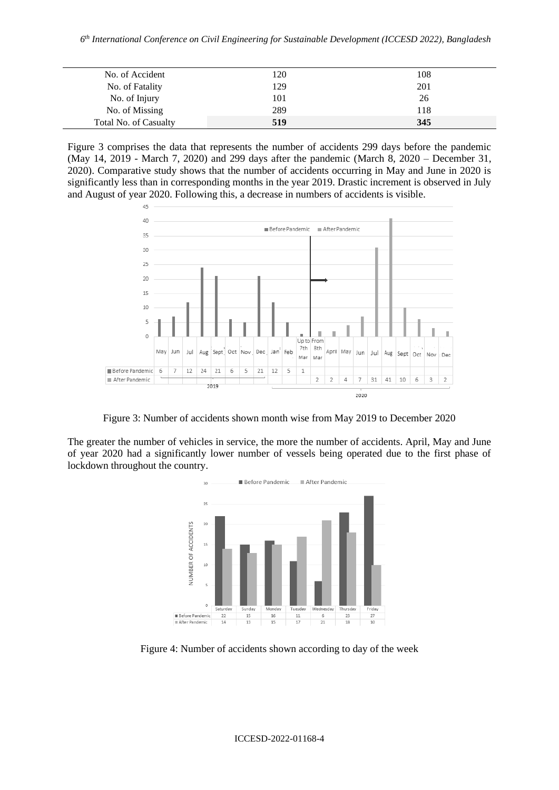| No. of Accident       | 120 | 108 |
|-----------------------|-----|-----|
| No. of Fatality       | 129 | 201 |
| No. of Injury         | 101 | 26  |
| No. of Missing        | 289 | 118 |
| Total No. of Casualty | 519 | 345 |

Figure 3 comprises the data that represents the number of accidents 299 days before the pandemic (May 14, 2019 - March 7, 2020) and 299 days after the pandemic (March 8, 2020 – December 31, 2020). Comparative study shows that the number of accidents occurring in May and June in 2020 is significantly less than in corresponding months in the year 2019. Drastic increment is observed in July and August of year 2020. Following this, a decrease in numbers of accidents is visible.



Figure 3: Number of accidents shown month wise from May 2019 to December 2020

The greater the number of vehicles in service, the more the number of accidents. April, May and June of year 2020 had a significantly lower number of vessels being operated due to the first phase of lockdown throughout the country.



Figure 4: Number of accidents shown according to day of the week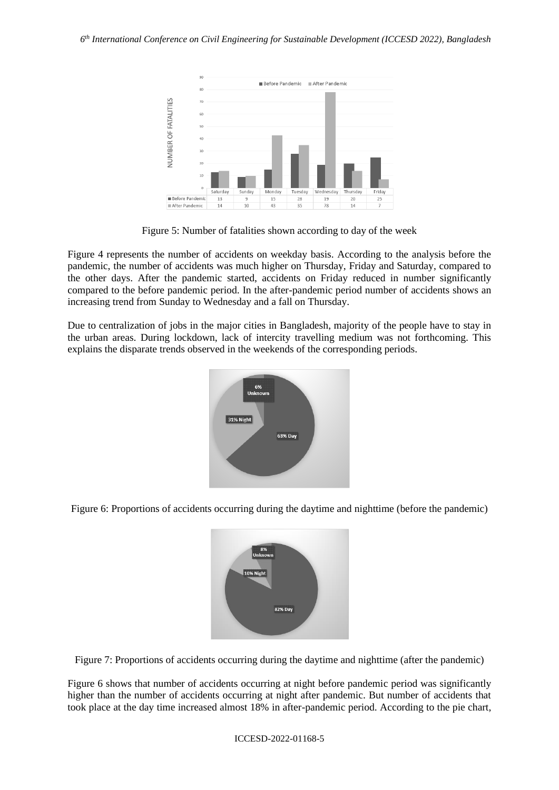

Figure 5: Number of fatalities shown according to day of the week

Figure 4 represents the number of accidents on weekday basis. According to the analysis before the pandemic, the number of accidents was much higher on Thursday, Friday and Saturday, compared to the other days. After the pandemic started, accidents on Friday reduced in number significantly compared to the before pandemic period. In the after-pandemic period number of accidents shows an increasing trend from Sunday to Wednesday and a fall on Thursday.

Due to centralization of jobs in the major cities in Bangladesh, majority of the people have to stay in the urban areas. During lockdown, lack of intercity travelling medium was not forthcoming. This explains the disparate trends observed in the weekends of the corresponding periods.



Figure 6: Proportions of accidents occurring during the daytime and nighttime (before the pandemic)



Figure 7: Proportions of accidents occurring during the daytime and nighttime (after the pandemic)

Figure 6 shows that number of accidents occurring at night before pandemic period was significantly higher than the number of accidents occurring at night after pandemic. But number of accidents that took place at the day time increased almost 18% in after-pandemic period. According to the pie chart,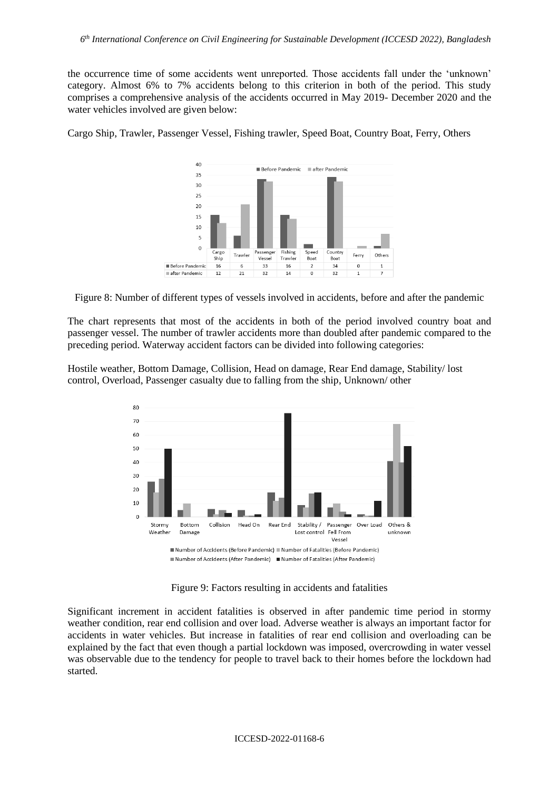the occurrence time of some accidents went unreported. Those accidents fall under the 'unknown' category. Almost 6% to 7% accidents belong to this criterion in both of the period. This study comprises a comprehensive analysis of the accidents occurred in May 2019- December 2020 and the water vehicles involved are given below:

Cargo Ship, Trawler, Passenger Vessel, Fishing trawler, Speed Boat, Country Boat, Ferry, Others



Figure 8: Number of different types of vessels involved in accidents, before and after the pandemic

The chart represents that most of the accidents in both of the period involved country boat and passenger vessel. The number of trawler accidents more than doubled after pandemic compared to the preceding period. Waterway accident factors can be divided into following categories:

Hostile weather, Bottom Damage, Collision, Head on damage, Rear End damage, Stability/ lost control, Overload, Passenger casualty due to falling from the ship, Unknown/ other



Figure 9: Factors resulting in accidents and fatalities

Significant increment in accident fatalities is observed in after pandemic time period in stormy weather condition, rear end collision and over load. Adverse weather is always an important factor for accidents in water vehicles. But increase in fatalities of rear end collision and overloading can be explained by the fact that even though a partial lockdown was imposed, overcrowding in water vessel was observable due to the tendency for people to travel back to their homes before the lockdown had started.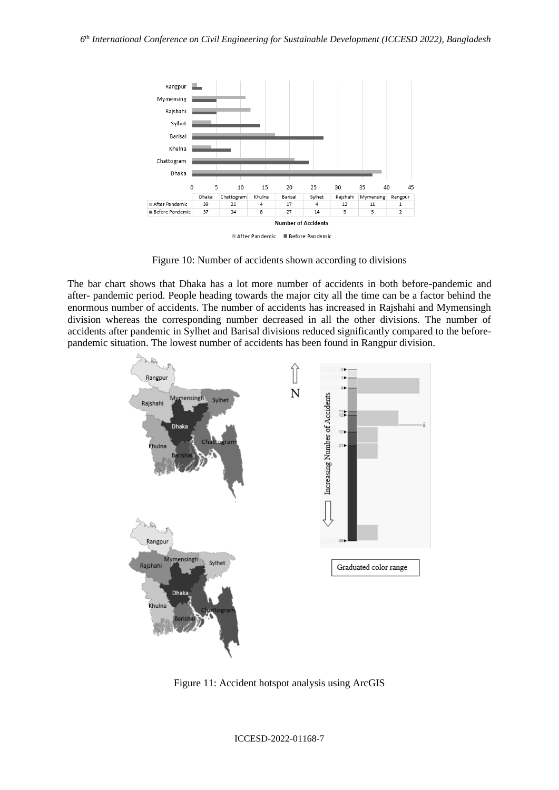

Figure 10: Number of accidents shown according to divisions

The bar chart shows that Dhaka has a lot more number of accidents in both before-pandemic and after- pandemic period. People heading towards the major city all the time can be a factor behind the enormous number of accidents. The number of accidents has increased in Rajshahi and Mymensingh division whereas the corresponding number decreased in all the other divisions. The number of accidents after pandemic in Sylhet and Barisal divisions reduced significantly compared to the beforepandemic situation. The lowest number of accidents has been found in Rangpur division.



Figure 11: Accident hotspot analysis using ArcGIS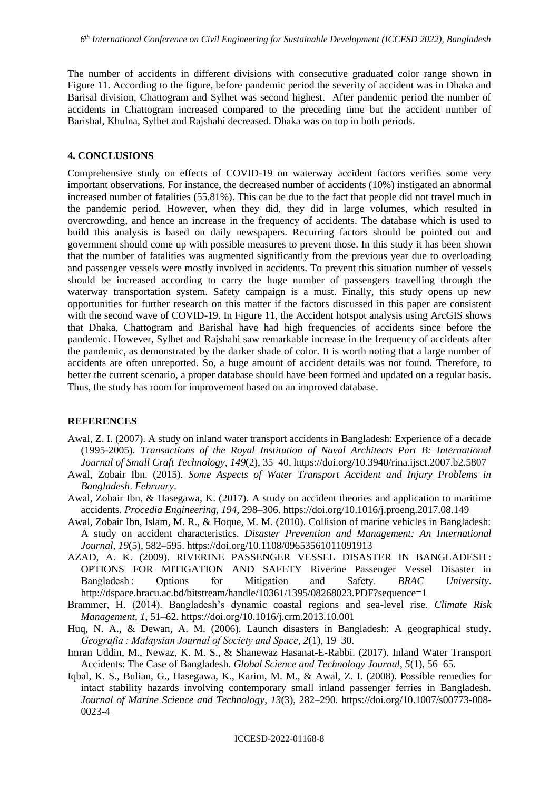The number of accidents in different divisions with consecutive graduated color range shown in Figure 11. According to the figure, before pandemic period the severity of accident was in Dhaka and Barisal division, Chattogram and Sylhet was second highest. After pandemic period the number of accidents in Chattogram increased compared to the preceding time but the accident number of Barishal, Khulna, Sylhet and Rajshahi decreased. Dhaka was on top in both periods.

#### **4. CONCLUSIONS**

Comprehensive study on effects of COVID-19 on waterway accident factors verifies some very important observations. For instance, the decreased number of accidents (10%) instigated an abnormal increased number of fatalities (55.81%). This can be due to the fact that people did not travel much in the pandemic period. However, when they did, they did in large volumes, which resulted in overcrowding, and hence an increase in the frequency of accidents. The database which is used to build this analysis is based on daily newspapers. Recurring factors should be pointed out and government should come up with possible measures to prevent those. In this study it has been shown that the number of fatalities was augmented significantly from the previous year due to overloading and passenger vessels were mostly involved in accidents. To prevent this situation number of vessels should be increased according to carry the huge number of passengers travelling through the waterway transportation system. Safety campaign is a must. Finally, this study opens up new opportunities for further research on this matter if the factors discussed in this paper are consistent with the second wave of COVID-19. In Figure 11, the Accident hotspot analysis using ArcGIS shows that Dhaka, Chattogram and Barishal have had high frequencies of accidents since before the pandemic. However, Sylhet and Rajshahi saw remarkable increase in the frequency of accidents after the pandemic, as demonstrated by the darker shade of color. It is worth noting that a large number of accidents are often unreported. So, a huge amount of accident details was not found. Therefore, to better the current scenario, a proper database should have been formed and updated on a regular basis. Thus, the study has room for improvement based on an improved database.

### **REFERENCES**

- Awal, Z. I. (2007). A study on inland water transport accidents in Bangladesh: Experience of a decade (1995-2005). *Transactions of the Royal Institution of Naval Architects Part B: International Journal of Small Craft Technology*, *149*(2), 35–40. https://doi.org/10.3940/rina.ijsct.2007.b2.5807
- Awal, Zobair Ibn. (2015). *Some Aspects of Water Transport Accident and Injury Problems in Bangladesh*. *February*.
- Awal, Zobair Ibn, & Hasegawa, K. (2017). A study on accident theories and application to maritime accidents. *Procedia Engineering*, *194*, 298–306. https://doi.org/10.1016/j.proeng.2017.08.149
- Awal, Zobair Ibn, Islam, M. R., & Hoque, M. M. (2010). Collision of marine vehicles in Bangladesh: A study on accident characteristics. *Disaster Prevention and Management: An International Journal*, *19*(5), 582–595. https://doi.org/10.1108/09653561011091913
- AZAD, A. K. (2009). RIVERINE PASSENGER VESSEL DISASTER IN BANGLADESH : OPTIONS FOR MITIGATION AND SAFETY Riverine Passenger Vessel Disaster in Bangladesh : Options for Mitigation and Safety. *BRAC University*. http://dspace.bracu.ac.bd/bitstream/handle/10361/1395/08268023.PDF?sequence=1
- Brammer, H. (2014). Bangladesh's dynamic coastal regions and sea-level rise. *Climate Risk Management*, *1*, 51–62. https://doi.org/10.1016/j.crm.2013.10.001
- Huq, N. A., & Dewan, A. M. (2006). Launch disasters in Bangladesh: A geographical study. *Geografia : Malaysian Journal of Society and Space*, *2*(1), 19–30.
- Imran Uddin, M., Newaz, K. M. S., & Shanewaz Hasanat-E-Rabbi. (2017). Inland Water Transport Accidents: The Case of Bangladesh. *Global Science and Technology Journal*, *5*(1), 56–65.
- Iqbal, K. S., Bulian, G., Hasegawa, K., Karim, M. M., & Awal, Z. I. (2008). Possible remedies for intact stability hazards involving contemporary small inland passenger ferries in Bangladesh. *Journal of Marine Science and Technology*, *13*(3), 282–290. https://doi.org/10.1007/s00773-008- 0023-4